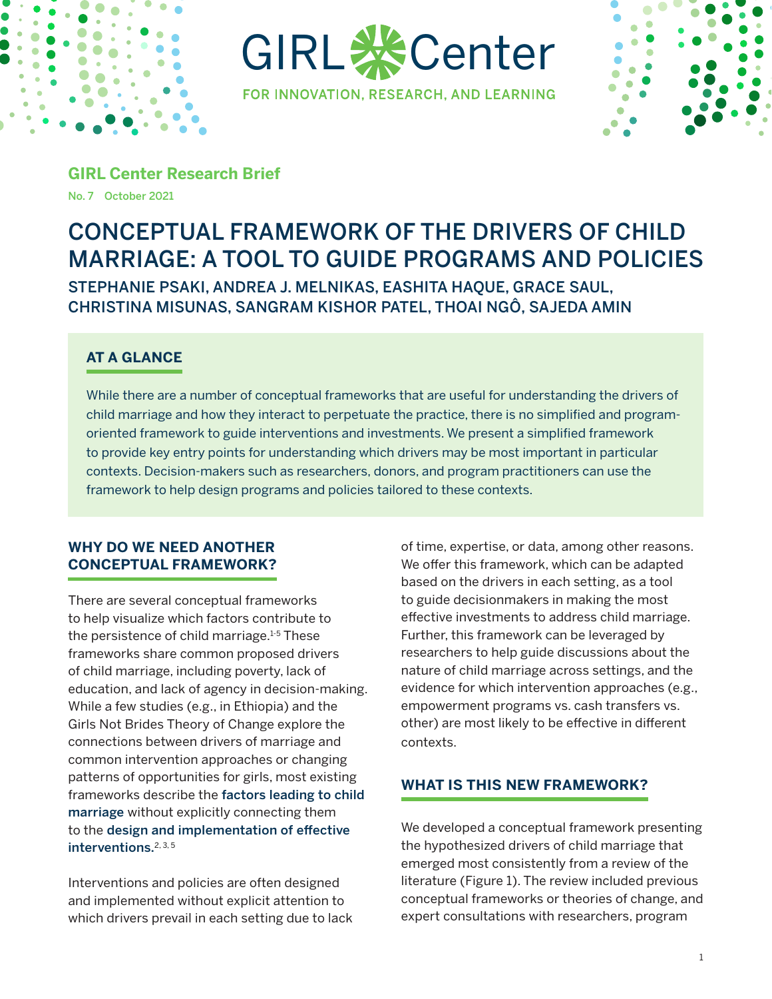

GIRL **※C**enter





**GIRL Center Research Brief** No. 7 October 2021

# CONCEPTUAL FRAMEWORK OF THE DRIVERS OF CHILD MARRIAGE: A TOOL TO GUIDE PROGRAMS AND POLICIES STEPHANIE PSAKI, ANDREA J. MELNIKAS, EASHITA HAQUE, GRACE SAUL, CHRISTINA MISUNAS, SANGRAM KISHOR PATEL, THOAI NGÔ, SAJEDA AMIN

# **AT A GLANCE**

While there are a number of conceptual frameworks that are useful for understanding the drivers of child marriage and how they interact to perpetuate the practice, there is no simplified and programoriented framework to guide interventions and investments. We present a simplified framework to provide key entry points for understanding which drivers may be most important in particular contexts. Decision-makers such as researchers, donors, and program practitioners can use the framework to help design programs and policies tailored to these contexts.

## **WHY DO WE NEED ANOTHER CONCEPTUAL FRAMEWORK?**

There are several conceptual frameworks to help visualize which factors contribute to the persistence of child marriage. $1-5$  These frameworks share common proposed drivers of child marriage, including poverty, lack of education, and lack of agency in decision-making. While a few studies (e.g., in Ethiopia) and the Girls Not Brides Theory of Change explore the connections between drivers of marriage and common intervention approaches or changing patterns of opportunities for girls, most existing frameworks describe the factors leading to child marriage without explicitly connecting them to the design and implementation of effective interventions.2, 3, 5

Interventions and policies are often designed and implemented without explicit attention to which drivers prevail in each setting due to lack of time, expertise, or data, among other reasons. We offer this framework, which can be adapted based on the drivers in each setting, as a tool to guide decisionmakers in making the most effective investments to address child marriage. Further, this framework can be leveraged by researchers to help guide discussions about the nature of child marriage across settings, and the evidence for which intervention approaches (e.g., empowerment programs vs. cash transfers vs. other) are most likely to be effective in different contexts.

## **WHAT IS THIS NEW FRAMEWORK?**

We developed a conceptual framework presenting the hypothesized drivers of child marriage that emerged most consistently from a review of the literature (Figure 1). The review included previous conceptual frameworks or theories of change, and expert consultations with researchers, program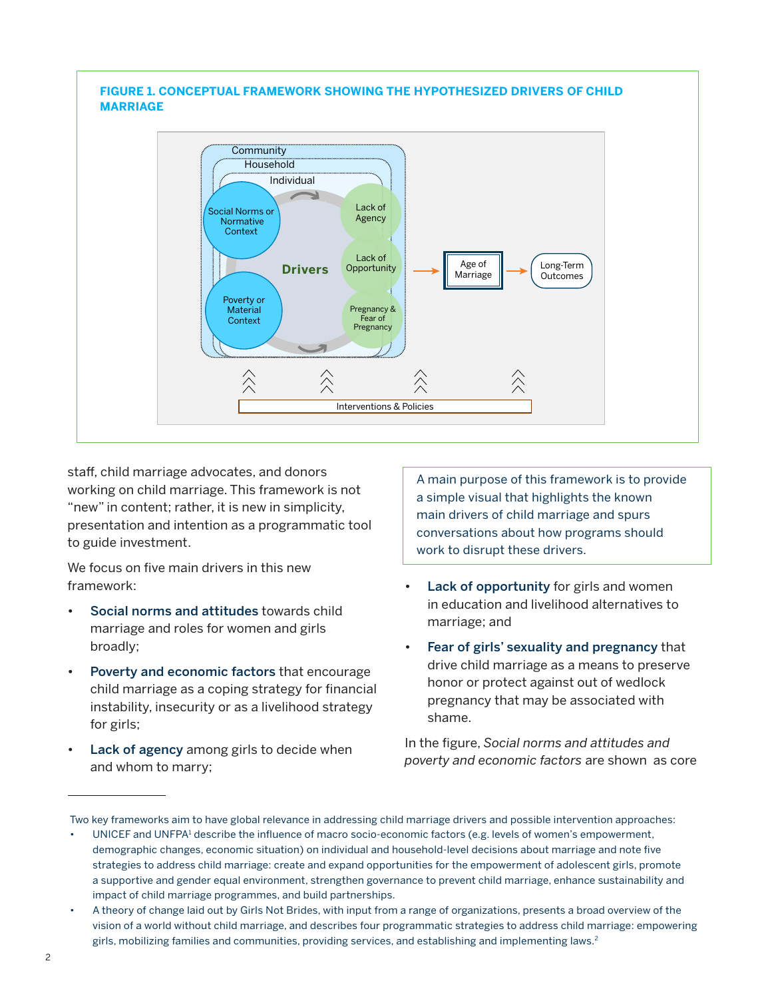#### **FIGURE 1. CONCEPTUAL FRAMEWORK SHOWING THE HYPOTHESIZED DRIVERS OF CHILD MARRIAGE Community Household** Individual Lack of Social Norms or Agency Normative Context Lack of Age of Long-Term **Drivers Opportunity** Marriage **Outcomes** Poverty or **Material** Pregnancy & **Context** Fear of Pregnancy 仌  $\hat{\wedge}$ Interventions & Policies

staff, child marriage advocates, and donors working on child marriage. This framework is not "new" in content; rather, it is new in simplicity, presentation and intention as a programmatic tool to guide investment.

We focus on five main drivers in this new framework:

- Social norms and attitudes towards child marriage and roles for women and girls broadly;
- Poverty and economic factors that encourage child marriage as a coping strategy for financial instability, insecurity or as a livelihood strategy for girls;
- Lack of agency among girls to decide when and whom to marry;

A main purpose of this framework is to provide a simple visual that highlights the known main drivers of child marriage and spurs conversations about how programs should work to disrupt these drivers.

- Lack of opportunity for girls and women in education and livelihood alternatives to marriage; and
- Fear of girls' sexuality and pregnancy that drive child marriage as a means to preserve honor or protect against out of wedlock pregnancy that may be associated with shame.

In the figure, *Social norms and attitudes and poverty and economic factors* are shown as core

Two key frameworks aim to have global relevance in addressing child marriage drivers and possible intervention approaches:

<sup>•</sup> UNICEF and UNFPA<sup>1</sup> describe the influence of macro socio-economic factors (e.g. levels of women's empowerment, demographic changes, economic situation) on individual and household-level decisions about marriage and note five strategies to address child marriage: create and expand opportunities for the empowerment of adolescent girls, promote a supportive and gender equal environment, strengthen governance to prevent child marriage, enhance sustainability and impact of child marriage programmes, and build partnerships.

<sup>•</sup> A theory of change laid out by Girls Not Brides, with input from a range of organizations, presents a broad overview of the vision of a world without child marriage, and describes four programmatic strategies to address child marriage: empowering girls, mobilizing families and communities, providing services, and establishing and implementing laws.<sup>2</sup>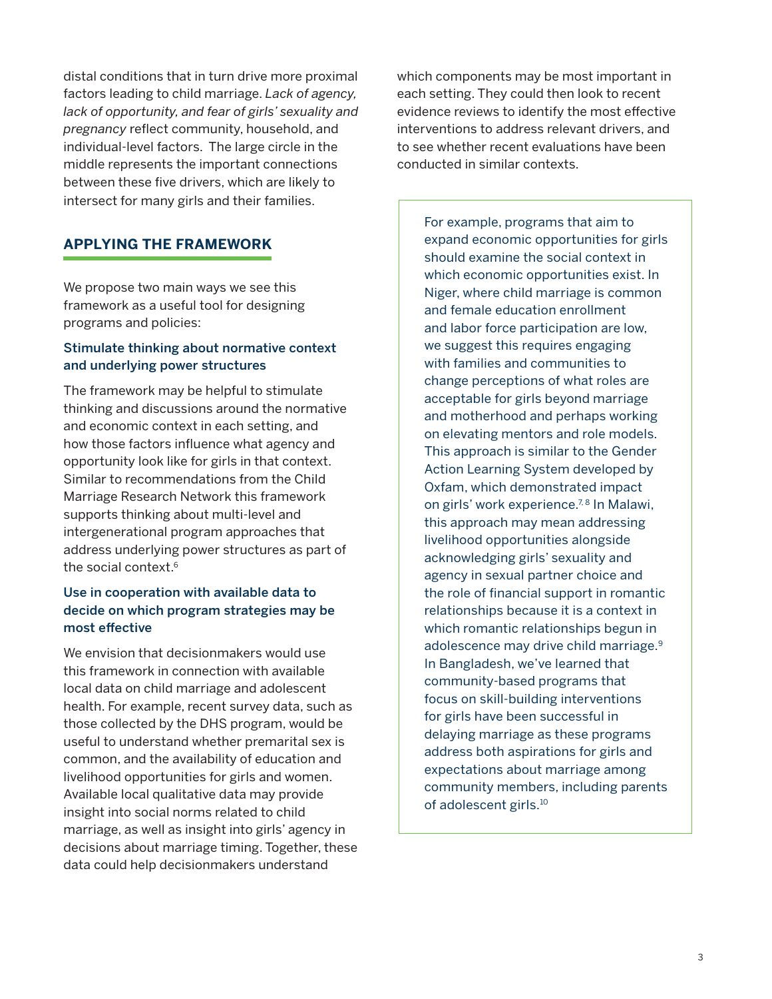distal conditions that in turn drive more proximal factors leading to child marriage. *Lack of agency, lack of opportunity, and fear of girls' sexuality and pregnancy* reflect community, household, and individual-level factors. The large circle in the middle represents the important connections between these five drivers, which are likely to intersect for many girls and their families.

## **APPLYING THE FRAMEWORK**

We propose two main ways we see this framework as a useful tool for designing programs and policies:

#### Stimulate thinking about normative context and underlying power structures

The framework may be helpful to stimulate thinking and discussions around the normative and economic context in each setting, and how those factors influence what agency and opportunity look like for girls in that context. Similar to recommendations from the Child Marriage Research Network this framework supports thinking about multi-level and intergenerational program approaches that address underlying power structures as part of the social context.<sup>6</sup>

#### Use in cooperation with available data to decide on which program strategies may be most effective

We envision that decisionmakers would use this framework in connection with available local data on child marriage and adolescent health. For example, recent survey data, such as those collected by the DHS program, would be useful to understand whether premarital sex is common, and the availability of education and livelihood opportunities for girls and women. Available local qualitative data may provide insight into social norms related to child marriage, as well as insight into girls' agency in decisions about marriage timing. Together, these data could help decisionmakers understand

which components may be most important in each setting. They could then look to recent evidence reviews to identify the most effective interventions to address relevant drivers, and to see whether recent evaluations have been conducted in similar contexts.

For example, programs that aim to expand economic opportunities for girls should examine the social context in which economic opportunities exist. In Niger, where child marriage is common and female education enrollment and labor force participation are low, we suggest this requires engaging with families and communities to change perceptions of what roles are acceptable for girls beyond marriage and motherhood and perhaps working on elevating mentors and role models. This approach is similar to the Gender Action Learning System developed by Oxfam, which demonstrated impact on girls' work experience.<sup>7,8</sup> In Malawi, this approach may mean addressing livelihood opportunities alongside acknowledging girls' sexuality and agency in sexual partner choice and the role of financial support in romantic relationships because it is a context in which romantic relationships begun in adolescence may drive child marriage.<sup>9</sup> In Bangladesh, we've learned that community-based programs that focus on skill-building interventions for girls have been successful in delaying marriage as these programs address both aspirations for girls and expectations about marriage among community members, including parents of adolescent girls.<sup>10</sup>